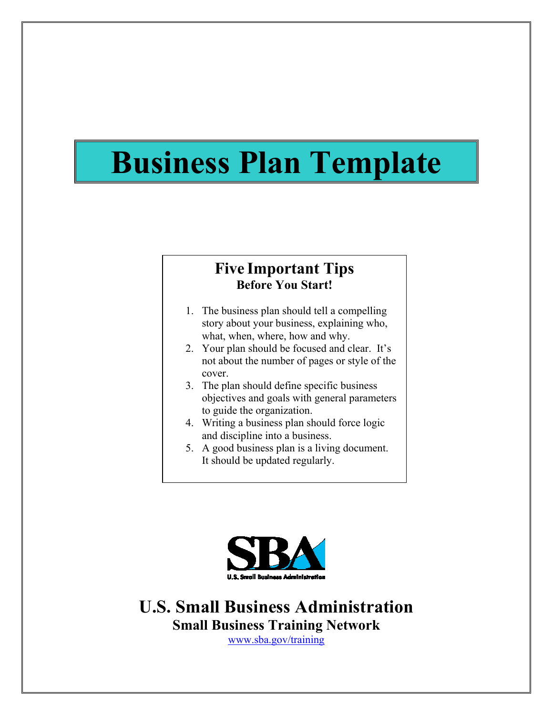# **Business Plan Template**

#### **Five Important Tips Before You Start!**

- 1. The business plan should tell a compelling story about your business, explaining who, what, when, where, how and why.
- 2. Your plan should be focused and clear. It's not about the number of pages or style of the cover.
- 3. The plan should define specific business objectives and goals with general parameters to guide the organization.
- 4. Writing a business plan should force logic and discipline into a business.
- 5. A good business plan is a living document. It should be updated regularly.



**U.S. Small Business Administration Small Business Training Network** 

www.sba.gov/training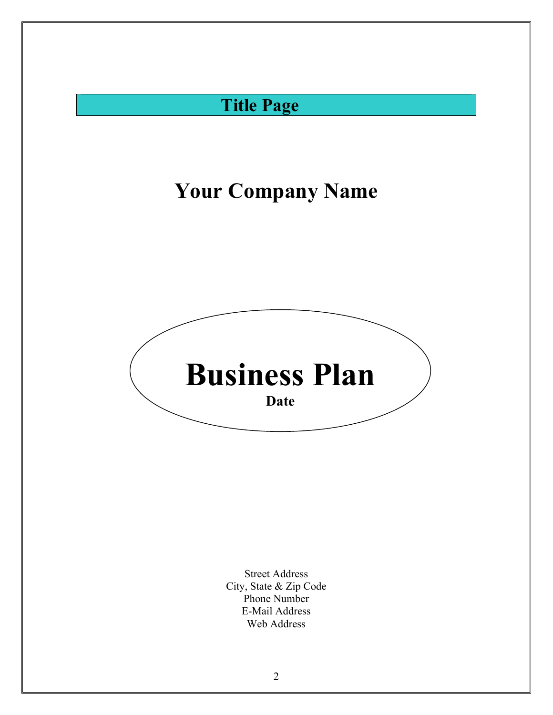### **Title Page**

# **Your Company Name**



Street Address City, State & Zip Code Phone Number E-Mail Address Web Address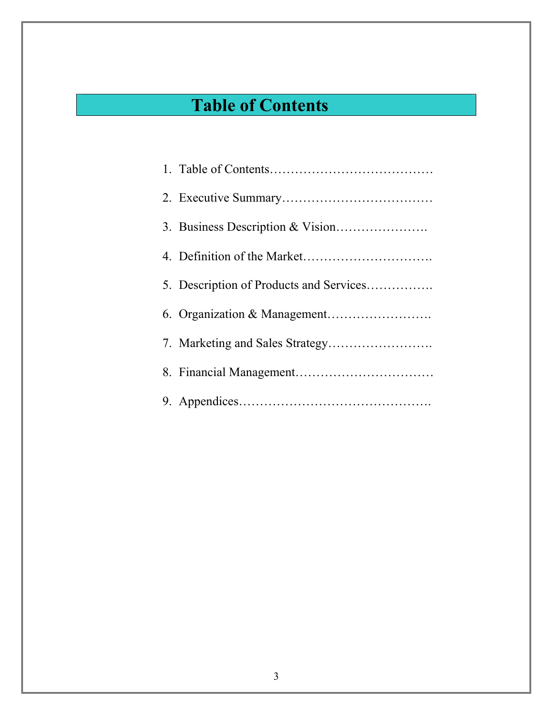# **Table of Contents**

| 5. Description of Products and Services |
|-----------------------------------------|
|                                         |
|                                         |
|                                         |
|                                         |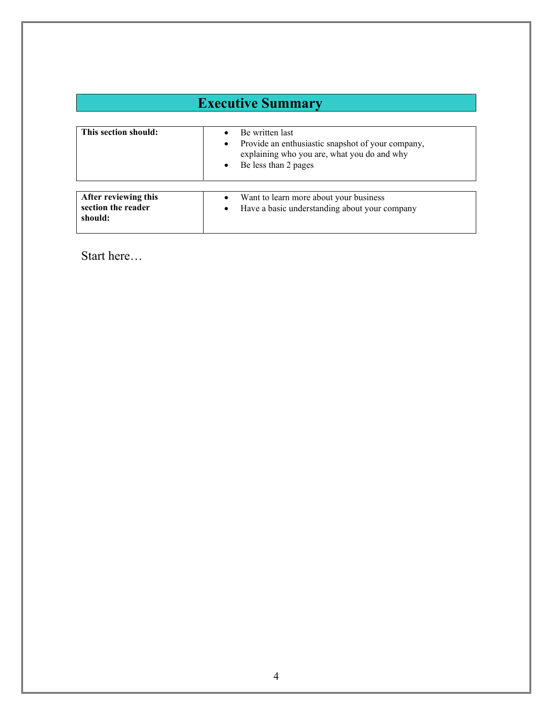| <b>Executive Summary</b>                              |                                                                                                                                                       |
|-------------------------------------------------------|-------------------------------------------------------------------------------------------------------------------------------------------------------|
| This section should:                                  | Be written last<br>Provide an enthusiastic snapshot of your company,<br>٠<br>explaining who you are, what you do and why<br>Be less than 2 pages<br>٠ |
| After reviewing this<br>section the reader<br>should: | Want to learn more about your business<br>Have a basic understanding about your company<br>$\bullet$                                                  |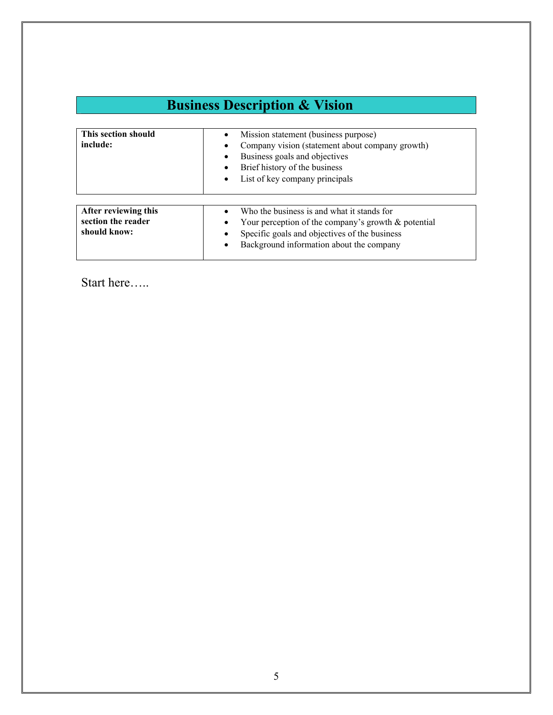## **Business Description & Vision**

| This section should<br>include:                            | Mission statement (business purpose)<br>$\bullet$<br>Company vision (statement about company growth)<br>Business goals and objectives<br>$\bullet$<br>Brief history of the business<br>$\bullet$<br>List of key company principals<br>$\bullet$ |
|------------------------------------------------------------|-------------------------------------------------------------------------------------------------------------------------------------------------------------------------------------------------------------------------------------------------|
| After reviewing this<br>section the reader<br>should know: | Who the business is and what it stands for<br>$\bullet$<br>Your perception of the company's growth $\&$ potential<br>Specific goals and objectives of the business<br>$\bullet$<br>Background information about the company<br>$\bullet$        |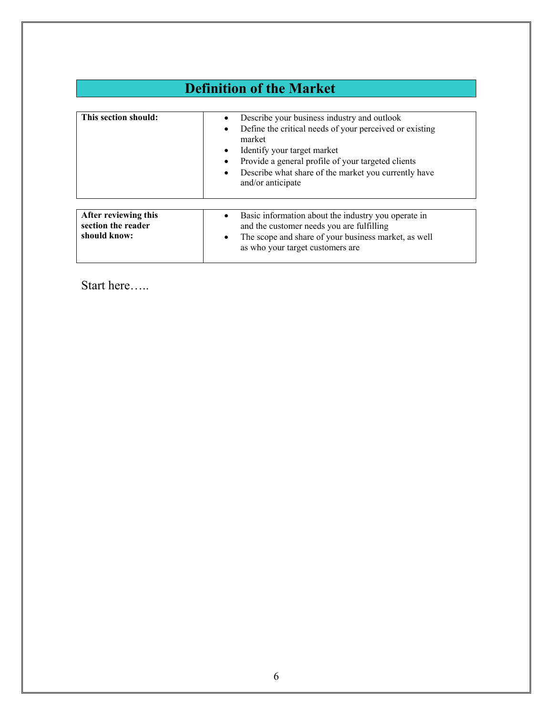| <b>Definition of the Market</b>                            |                                                                                                                                                                                                                                                                                    |
|------------------------------------------------------------|------------------------------------------------------------------------------------------------------------------------------------------------------------------------------------------------------------------------------------------------------------------------------------|
| This section should:                                       | Describe your business industry and outlook<br>Define the critical needs of your perceived or existing<br>market<br>Identify your target market<br>Provide a general profile of your targeted clients<br>Describe what share of the market you currently have<br>and/or anticipate |
| After reviewing this<br>section the reader<br>should know: | Basic information about the industry you operate in<br>and the customer needs you are fulfilling<br>The scope and share of your business market, as well<br>$\bullet$<br>as who your target customers are                                                                          |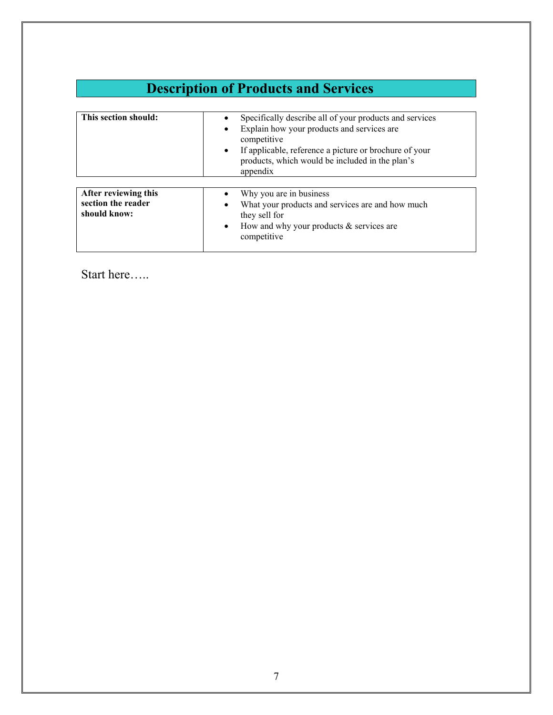| <b>Description of Products and Services</b>                |                                                                                                                                                                                                                                                            |
|------------------------------------------------------------|------------------------------------------------------------------------------------------------------------------------------------------------------------------------------------------------------------------------------------------------------------|
| This section should:                                       | Specifically describe all of your products and services<br>Explain how your products and services are<br>competitive<br>If applicable, reference a picture or brochure of your<br>$\bullet$<br>products, which would be included in the plan's<br>appendix |
| After reviewing this<br>section the reader<br>should know: | Why you are in business<br>What your products and services are and how much<br>they sell for<br>How and why your products $\&$ services are<br>$\bullet$<br>competitive                                                                                    |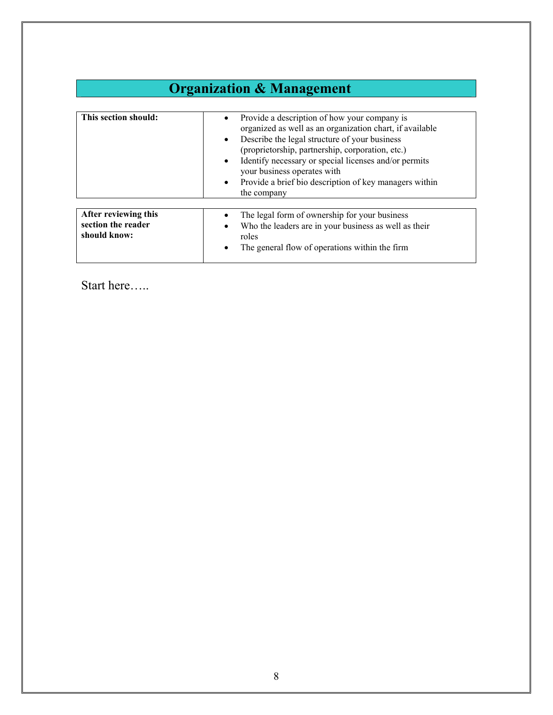| <b>Organization &amp; Management</b> |                                                                                                                                                                                                                                                                                                                                                                                                                       |
|--------------------------------------|-----------------------------------------------------------------------------------------------------------------------------------------------------------------------------------------------------------------------------------------------------------------------------------------------------------------------------------------------------------------------------------------------------------------------|
|                                      |                                                                                                                                                                                                                                                                                                                                                                                                                       |
| This section should:                 | Provide a description of how your company is<br>organized as well as an organization chart, if available<br>Describe the legal structure of your business<br>$\bullet$<br>(proprietorship, partnership, corporation, etc.)<br>Identify necessary or special licenses and/or permits<br>$\bullet$<br>your business operates with<br>Provide a brief bio description of key managers within<br>$\bullet$<br>the company |
| After reviewing this                 | The legal form of ownership for your business                                                                                                                                                                                                                                                                                                                                                                         |
| section the reader<br>should know:   | Who the leaders are in your business as well as their<br>roles<br>The general flow of operations within the firm                                                                                                                                                                                                                                                                                                      |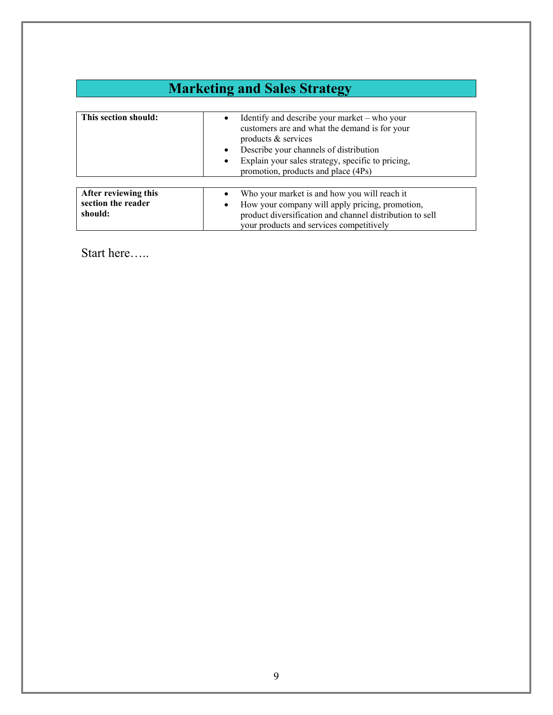| <b>Marketing and Sales Strategy</b>        |                                                                                                                                    |
|--------------------------------------------|------------------------------------------------------------------------------------------------------------------------------------|
|                                            |                                                                                                                                    |
| This section should:                       | Identify and describe your market – who your<br>$\bullet$<br>customers are and what the demand is for your<br>products & services  |
|                                            | Describe your channels of distribution<br>Explain your sales strategy, specific to pricing,<br>promotion, products and place (4Ps) |
| After reviewing this<br>section the reader | Who your market is and how you will reach it<br>How your company will apply pricing, promotion,<br>٠                               |
| should:                                    | product diversification and channel distribution to sell<br>your products and services competitively                               |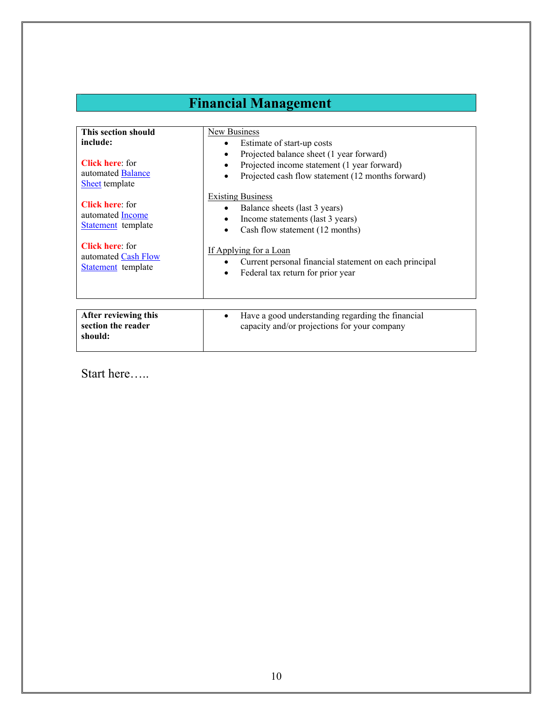### **Financial Management**

| This section should                                                  | New Business                                                                                                                                                   |
|----------------------------------------------------------------------|----------------------------------------------------------------------------------------------------------------------------------------------------------------|
| include:                                                             | Estimate of start-up costs<br>$\bullet$                                                                                                                        |
| <b>Click here:</b> for<br>automated <b>Balance</b><br>Sheet template | Projected balance sheet (1 year forward)<br>٠<br>Projected income statement (1 year forward)<br>$\bullet$<br>Projected cash flow statement (12 months forward) |
| <b>Click here:</b> for<br>automated Income<br>Statement template     | <b>Existing Business</b><br>Balance sheets (last 3 years)<br>Income statements (last 3 years)<br>Cash flow statement (12 months)<br>$\bullet$                  |
| <b>Click here:</b> for<br>automated Cash Flow<br>Statement template  | If Applying for a Loan<br>Current personal financial statement on each principal<br>Federal tax return for prior year                                          |
|                                                                      |                                                                                                                                                                |
| After reviewing this<br>section the reader<br>should:                | Have a good understanding regarding the financial<br>$\bullet$<br>capacity and/or projections for your company                                                 |